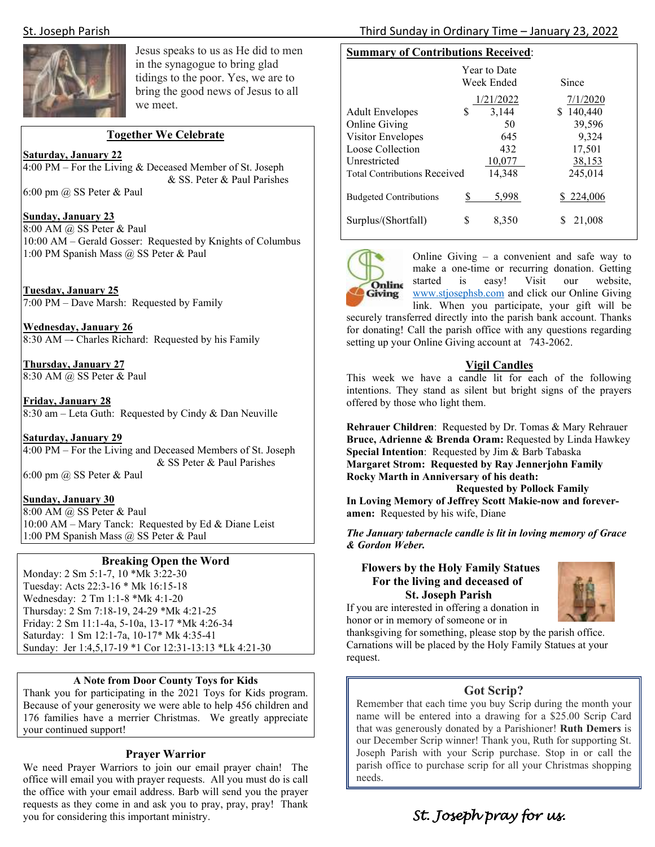

Jesus speaks to us as He did to men in the synagogue to bring glad tidings to the poor. Yes, we are to bring the good news of Jesus to all we meet.

## **Together We Celebrate**

#### **Saturday, January 22**

4:00 PM – For the Living & Deceased Member of St. Joseph & SS. Peter & Paul Parishes

6:00 pm @ SS Peter & Paul

#### **Sunday, January 23**

8:00 AM @ SS Peter & Paul 10:00 AM – Gerald Gosser: Requested by Knights of Columbus 1:00 PM Spanish Mass @ SS Peter & Paul

**Tuesday, January 25**  7:00 PM – Dave Marsh: Requested by Family

**Wednesday, January 26**  8:30 AM –- Charles Richard: Requested by his Family

**Thursday, January 27**  8:30 AM @ SS Peter & Paul

**Friday, January 28**  8:30 am – Leta Guth: Requested by Cindy & Dan Neuville

#### **Saturday, January 29**

4:00 PM – For the Living and Deceased Members of St. Joseph & SS Peter & Paul Parishes

6:00 pm @ SS Peter & Paul

#### **Sunday, January 30**

8:00 AM @ SS Peter & Paul 10:00 AM – Mary Tanck: Requested by Ed & Diane Leist 1:00 PM Spanish Mass @ SS Peter & Paul

#### **Breaking Open the Word**

Monday: 2 Sm 5:1-7, 10 \*Mk 3:22-30 Tuesday: Acts 22:3-16 \* Mk 16:15-18 Wednesday: 2 Tm 1:1-8 \*Mk 4:1-20 Thursday: 2 Sm 7:18-19, 24-29 \*Mk 4:21-25 Friday: 2 Sm 11:1-4a, 5-10a, 13-17 \*Mk 4:26-34 Saturday: 1 Sm 12:1-7a, 10-17\* Mk 4:35-41 Sunday: Jer 1:4,5,17-19 \*1 Cor 12:31-13:13 \*Lk 4:21-30

#### **A Note from Door County Toys for Kids**

Thank you for participating in the 2021 Toys for Kids program. Because of your generosity we were able to help 456 children and 176 families have a merrier Christmas. We greatly appreciate your continued support!

#### **Prayer Warrior**

We need Prayer Warriors to join our email prayer chain! The office will email you with prayer requests. All you must do is call the office with your email address. Barb will send you the prayer requests as they come in and ask you to pray, pray, pray! Thank you for considering this important ministry.

# **Summary of Contributions Received**:

|                                     |   | Year to Date<br>Week Ended | Since         |
|-------------------------------------|---|----------------------------|---------------|
|                                     |   | 1/21/2022                  | 7/1/2020      |
| <b>Adult Envelopes</b>              | S | 3,144                      | 140,440<br>S  |
| <b>Online Giving</b>                |   | 50                         | 39,596        |
| Visitor Envelopes                   |   | 645                        | 9,324         |
| Loose Collection                    |   | 432                        | 17,501        |
| Unrestricted                        |   | 10,077                     | <u>38,153</u> |
| <b>Total Contributions Received</b> |   | 14,348                     | 245,014       |
| <b>Budgeted Contributions</b>       |   | 5,998                      | \$224,006     |
| Surplus/(Shortfall)                 | S | 8,350                      | 21,008        |



Online Giving – a convenient and safe way to make a one-time or recurring donation. Getting started is easy! Visit our website, www.stjosephsb.com and click our Online Giving link. When you participate, your gift will be

securely transferred directly into the parish bank account. Thanks for donating! Call the parish office with any questions regarding setting up your Online Giving account at 743-2062.

## **Vigil Candles**

This week we have a candle lit for each of the following intentions. They stand as silent but bright signs of the prayers offered by those who light them.

**Rehrauer Children**: Requested by Dr. Tomas & Mary Rehrauer **Bruce, Adrienne & Brenda Oram:** Requested by Linda Hawkey **Special Intention**: Requested by Jim & Barb Tabaska **Margaret Strom: Requested by Ray Jennerjohn Family Rocky Marth in Anniversary of his death:** 

 **Requested by Pollock Family In Loving Memory of Jeffrey Scott Makie-now and foreveramen:** Requested by his wife, Diane

*The January tabernacle candle is lit in loving memory of Grace & Gordon Weber.* 

## **Flowers by the Holy Family Statues For the living and deceased of St. Joseph Parish**



If you are interested in offering a donation in honor or in memory of someone or in

thanksgiving for something, please stop by the parish office. Carnations will be placed by the Holy Family Statues at your request.

## **Got Scrip?**

 parish office to purchase scrip for all your Christmas shopping Remember that each time you buy Scrip during the month your name will be entered into a drawing for a \$25.00 Scrip Card that was generously donated by a Parishioner! **Ruth Demers** is our December Scrip winner! Thank you, Ruth for supporting St. Joseph Parish with your Scrip purchase. Stop in or call the needs.

St. Joseph pray for us.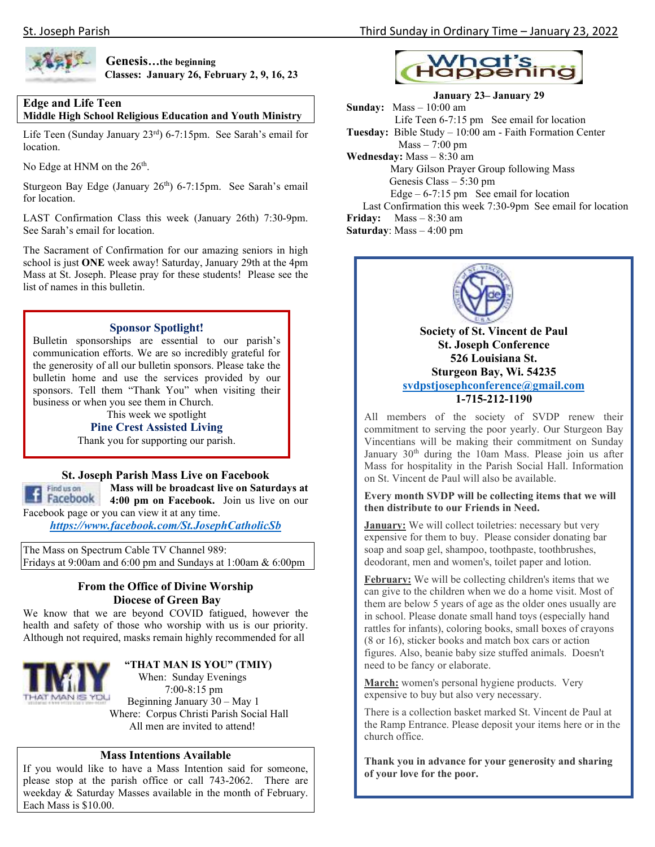

 **Genesis…the beginning Classes: January 26, February 2, 9, 16, 23** 

# **Edge and Life Teen**

**Middle High School Religious Education and Youth Ministry** 

Life Teen (Sunday January 23rd) 6-7:15pm. See Sarah's email for location.

No Edge at HNM on the 26<sup>th</sup>.

Sturgeon Bay Edge (January 26<sup>th</sup>) 6-7:15pm. See Sarah's email for location.

LAST Confirmation Class this week (January 26th) 7:30-9pm. See Sarah's email for location.

The Sacrament of Confirmation for our amazing seniors in high school is just **ONE** week away! Saturday, January 29th at the 4pm Mass at St. Joseph. Please pray for these students! Please see the list of names in this bulletin.

#### **Sponsor Spotlight!**

Bulletin sponsorships are essential to our parish's communication efforts. We are so incredibly grateful for the generosity of all our bulletin sponsors. Please take the bulletin home and use the services provided by our sponsors. Tell them "Thank You" when visiting their business or when you see them in Church.

This week we spotlight

#### **Pine Crest Assisted Living**

Thank you for supporting our parish.

## **St. Joseph Parish Mass Live on Facebook**

**Mass will be broadcast live on Saturdays at**  Find us on **1 Facebook** 4:00 pm on Facebook. Join us live on our Facebook page or you can view it at any time.

*https://www.facebook.com/St.JosephCatholicSb* 

The Mass on Spectrum Cable TV Channel 989: Fridays at 9:00am and 6:00 pm and Sundays at 1:00am & 6:00pm

# **From the Office of Divine Worship Diocese of Green Bay**

We know that we are beyond COVID fatigued, however the health and safety of those who worship with us is our priority. Although not required, masks remain highly recommended for all



# **"THAT MAN IS YOU" (TMIY)**

 When: Sunday Evenings 7:00-8:15 pm Beginning January 30 – May 1 Where: Corpus Christi Parish Social Hall All men are invited to attend!

# **Mass Intentions Available**

If you would like to have a Mass Intention said for someone, please stop at the parish office or call 743-2062. There are weekday & Saturday Masses available in the month of February. Each Mass is \$10.00.



# **January 23– January 29**

**Sunday:** Mass – 10:00 am Life Teen 6-7:15 pm See email for location **Tuesday:** Bible Study – 10:00 am - Faith Formation Center  $Mass - 7:00 \text{ pm}$ **Wednesday:** Mass – 8:30 am Mary Gilson Prayer Group following Mass Genesis Class – 5:30 pm Edge –  $6-7:15$  pm See email for location Last Confirmation this week 7:30-9pm See email for location **Friday:** Mass – 8:30 am

**Saturday**: Mass – 4:00 pm



**Society of St. Vincent de Paul St. Joseph Conference 526 Louisiana St. Sturgeon Bay, Wi. 54235 svdpstjosephconference@gmail.com 1-715-212-1190** 

All members of the society of SVDP renew their commitment to serving the poor yearly. Our Sturgeon Bay Vincentians will be making their commitment on Sunday January 30<sup>th</sup> during the 10am Mass. Please join us after Mass for hospitality in the Parish Social Hall. Information on St. Vincent de Paul will also be available.

#### **Every month SVDP will be collecting items that we will then distribute to our Friends in Need.**

**January:** We will collect toiletries: necessary but very expensive for them to buy. Please consider donating bar soap and soap gel, shampoo, toothpaste, toothbrushes, deodorant, men and women's, toilet paper and lotion.

**February:** We will be collecting children's items that we can give to the children when we do a home visit. Most of them are below 5 years of age as the older ones usually are in school. Please donate small hand toys (especially hand rattles for infants), coloring books, small boxes of crayons (8 or 16), sticker books and match box cars or action figures. Also, beanie baby size stuffed animals. Doesn't need to be fancy or elaborate.

**March:** women's personal hygiene products. Very expensive to buy but also very necessary.

There is a collection basket marked St. Vincent de Paul at the Ramp Entrance. Please deposit your items here or in the church office.

**Thank you in advance for your generosity and sharing of your love for the poor.**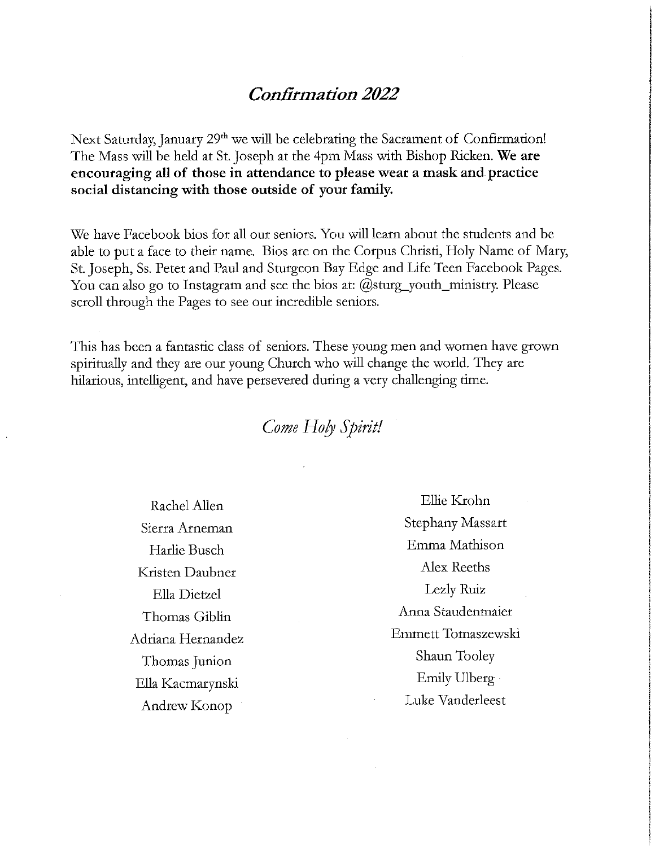# **Confirmation 2022**

Next Saturday, January 29<sup>th</sup> we will be celebrating the Sacrament of Confirmation! The Mass will be held at St. Joseph at the 4pm Mass with Bishop Ricken. We are encouraging all of those in attendance to please wear a mask and practice social distancing with those outside of your family.

We have Facebook bios for all our seniors. You will learn about the students and be able to put a face to their name. Bios are on the Corpus Christi, Holy Name of Mary, St. Joseph, Ss. Peter and Paul and Sturgeon Bay Edge and Life Teen Facebook Pages. You can also go to Instagram and see the bios at:  $(\omega_{\text{sturg\_youth\_ministry}})$ . Please scroll through the Pages to see our incredible seniors.

This has been a fantastic class of seniors. These young men and women have grown spiritually and they are our young Church who will change the world. They are hilarious, intelligent, and have persevered during a very challenging time.

# Come Holy Spirit!

Rachel Allen Sierra Arneman Harlie Busch Kristen Daubner Ella Dietzel Thomas Giblin Adriana Hernandez Thomas Junion Ella Kacmarynski Andrew Konop

Ellie Krohn **Stephany Massart** Emma Mathison Alex Reeths Lezly Ruiz Anna Staudenmaier Emmett Tomaszewski Shaun Tooley Emily Ulberg Luke Vanderleest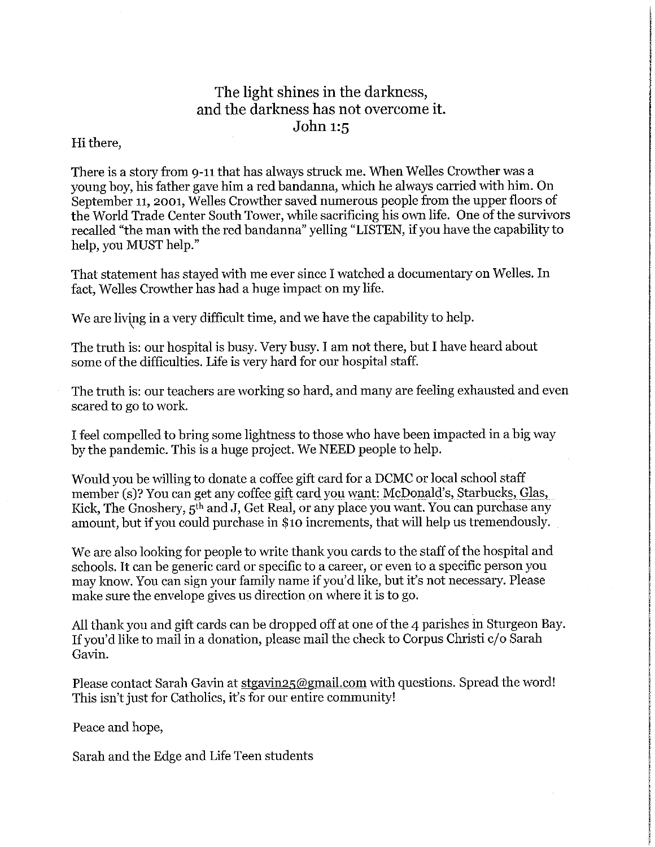# The light shines in the darkness, and the darkness has not overcome it. John 1:5

# Hi there,

There is a story from 9-11 that has always struck me. When Welles Crowther was a young boy, his father gave him a red bandanna, which he always carried with him. On September 11, 2001, Welles Crowther saved numerous people from the upper floors of the World Trade Center South Tower, while sacrificing his own life. One of the survivors recalled "the man with the red bandanna" yelling "LISTEN, if you have the capability to help, you MUST help."

That statement has stayed with me ever since I watched a documentary on Welles. In fact, Welles Crowther has had a huge impact on my life.

We are living in a very difficult time, and we have the capability to help.

The truth is: our hospital is busy. Very busy. I am not there, but I have heard about some of the difficulties. Life is very hard for our hospital staff.

The truth is: our teachers are working so hard, and many are feeling exhausted and even scared to go to work.

I feel compelled to bring some lightness to those who have been impacted in a big way by the pandemic. This is a huge project. We NEED people to help.

Would vou be willing to donate a coffee gift card for a DCMC or local school staff member (s)? You can get any coffee gift card you want: McDonald's, Starbucks, Glas, Kick, The Gnoshery, 5<sup>th</sup> and J, Get Real, or any place you want. You can purchase any amount, but if you could purchase in \$10 increments, that will help us tremendously.

We are also looking for people to write thank you cards to the staff of the hospital and schools. It can be generic card or specific to a career, or even to a specific person you may know. You can sign your family name if you'd like, but it's not necessary. Please make sure the envelope gives us direction on where it is to go.

All thank you and gift cards can be dropped off at one of the 4 parishes in Sturgeon Bay. If you'd like to mail in a donation, please mail the check to Corpus Christi c/o Sarah Gavin.

Please contact Sarah Gavin at stgavin<sub>25@gmail.com</sub> with questions. Spread the word! This isn't just for Catholics, it's for our entire community!

Peace and hope,

Sarah and the Edge and Life Teen students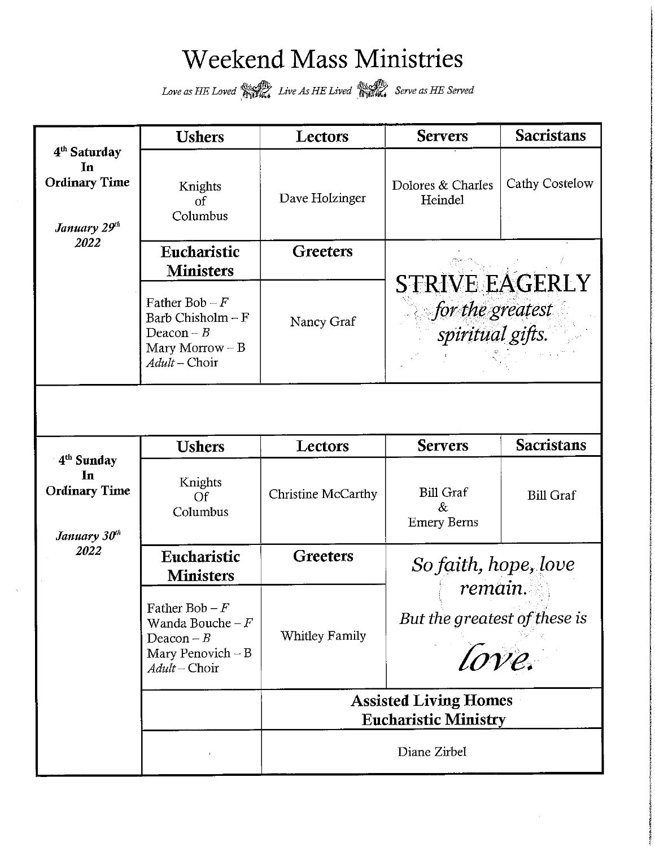# **Weekend Mass Ministries**

Love as HE Loved **Reflex** Live As HE Lived **Reflex** Serve as HE Served

|                                                                        | <b>Ushers</b>                                                                                                    | Lectors            | <b>Servers</b>                                                | <b>Sacristans</b> |  |  |  |  |
|------------------------------------------------------------------------|------------------------------------------------------------------------------------------------------------------|--------------------|---------------------------------------------------------------|-------------------|--|--|--|--|
| 4 <sup>th</sup> Saturday<br>In<br><b>Ordinary Time</b><br>January 29th | Knights<br>$\sigma$ f<br>Columbus                                                                                | Dave Holzinger     | Dolores & Charles<br>Heindel                                  | Cathy Costelow    |  |  |  |  |
| 2022                                                                   | Eucharistic                                                                                                      | <b>Greeters</b>    |                                                               |                   |  |  |  |  |
|                                                                        | <b>Ministers</b>                                                                                                 |                    |                                                               |                   |  |  |  |  |
|                                                                        | Father Bob $-F$<br>Barb Chisholm $-F$<br>Deacon $-B$<br>Mary Morrow $- B$<br>$Adult$ - Choir                     | Nancy Graf         | <b>STRIVE EAGERLY</b><br>for the greatest<br>spiritual gifts. |                   |  |  |  |  |
|                                                                        |                                                                                                                  |                    |                                                               |                   |  |  |  |  |
| 4 <sup>th</sup> Sunday                                                 | <b>Ushers</b>                                                                                                    | Lectors            | <b>Servers</b>                                                | <b>Sacristans</b> |  |  |  |  |
| In<br><b>Ordinary Time</b><br>January 30 <sup>th</sup><br>2022         | Knights<br>Of<br>Columbus                                                                                        | Christine McCarthy | <b>Bill Graf</b><br>$\&$<br><b>Emery Berns</b>                | <b>Bill Graf</b>  |  |  |  |  |
|                                                                        | Eucharistic<br><b>Ministers</b>                                                                                  | <b>Greeters</b>    | So faith, hope, love                                          |                   |  |  |  |  |
|                                                                        | Father Bob – $F$<br>Wanda Bouche – $F$<br>Whitley Family<br>Deacon $-B$<br>Mary Penovich $-B$<br>$Adult$ - Choir |                    | remain.<br>But the greatest of these is<br>love.              |                   |  |  |  |  |
|                                                                        |                                                                                                                  |                    | <b>Assisted Living Homes</b><br><b>Eucharistic Ministry</b>   |                   |  |  |  |  |
|                                                                        |                                                                                                                  | Diane Zirbel       |                                                               |                   |  |  |  |  |